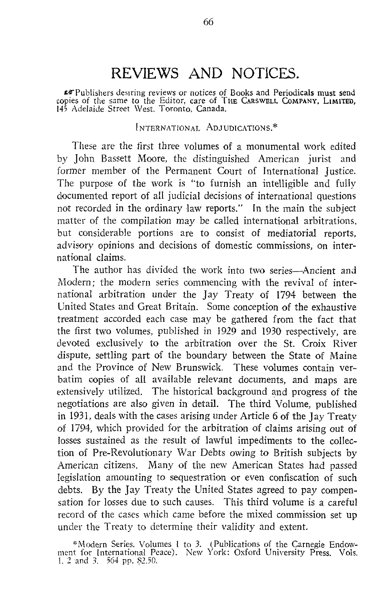# REVIEWS AND NOTICES.

trPublishers desiring reviews or notices of Books and Periodicals must send copies of the same to the Editor, care of THE CARSWELL COMPANY, LIMITED, <sup>145</sup> Adelaide Street West, Toronto. Canada.

INTERNATIONAL ADJUDICATIONS. \*

These are the first three volumes of a monumental work edited by John Bassett Moore, the distinguished American jurist and former member of the Permanent Court of International Justice. The purpose of the work is "to furnish an intelligible and fully documented report of all judicial decisions of international questions not recorded in the ordinary law reports ." In the main the subject matter of the compilation may be called international arbitrations, but considerable portions are to consist of mediatorial reports, advisory opinions and decisions of domestic commissions, on international claims.

The author has divided the work into two series—Ancient and Modern; the modern series commencing with the revival of international arbitration under the Jay Treaty of 1794 between the United States and Great Britain. Some conception of the exhaustive treatment accorded each case may be gathered from the fact that the first two volumes, published in 1929 and 1930 respectively, are devoted exclusively to the arbitration over the St. Croix River dispute, settling part of the boundary between the State of Maine and the Province of New Brunswick. These volumes contain verbatim copies of all available relevant documents, and maps are extensively utilized. The historical background and progress of the negotiations are also given in detail. The third Volume, published in 1931, deals with the cases arising under Article 6 of the Jay Treaty of 1794, which provided for the arbitration of claims arising out of losses sustained as the result of lawful impediments to the collection of Pre-Revolutionary War Debts owing to British subjects by American citizens. Many of the new American States had passed legislation amounting to sequestration or even confiscation of such debts. By the Jay Treaty the United States agreed to pay compensation for losses due to such causes. This third volume is a careful record of the cases which came before the mixed commission set up under the Treaty to determine their validity and extent.

<sup>\*</sup>Modern Series . Volumes <sup>I</sup> to 3. (Publications of the Carnegie Endow-ment for International Peace) . New York : Oxford University Press. Vols . 1, 2 and 3,  $-564$  pp. \$2.50.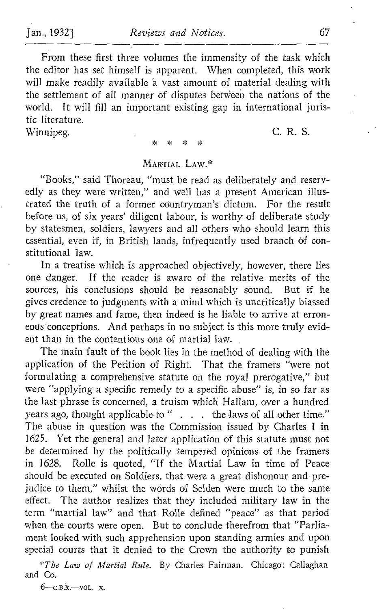From these first three volumes the immensity of the task which the editor has set himself is apparent. When completed, this work will make readily available â vast amount of material dealing with the settlement of all manner of disputes between the nations of the world. It will fill an important existing gap in international juristic literature.

Winnipeg. C. R. S.

## MARTIAL LAW. \*

"Books," said Thoreau, "must be read as deliberately and reservedly as they were written," and well has a present American illustrated the truth of a former countryman's dictum. For the result before us, of six years' diligent labour, is worthy of deliberate study by statesmen, soldiers, lawyers and all others who should learn this essential, even if, in British lands, infrequently used branch of constitutional law.

In a treatise which is approached objectively, however, there lies one danger. If the reader is aware of the relative merits of the sources, his conclusions should be reasonably sound. But if he gives credence to judgments with a mind which is uncritically biassed by great names and fame, then indeed is he liable to arrive at erroneous conceptions. And perhaps in no subject is this more truly evident than in the contentious one of martial law.

The main fault of the book lies in the method of dealing with the application of the Petition of Right. That the framers "were not formulating a comprehensive statute on the royal prerogative," but were "applying a specific remedy to a specific abuse" is, in so far as the last phrase is concerned, a truism which Hallam, over a hundred years ago, thought applicable to " . . . the laws of all other time." The abuse in question was the Commission issued by Charles <sup>I</sup> in 1625. Yet the general and later application of this statute must not be determined by the politically tempered opinions of the framers in 1628 . Rolle is quoted, "If the Martial Law in time of Peace should be executed on Soldiers, that were a great dishonour and prejudice to them," whilst the words of Selden were much to the same effect. The author realizes that they included military law in the term "martial law" and that Rolle defined "peace" as that period when the courts were open. But to conclude therefrom that "Parliament looked with such apprehension upon standing armies and upon special courts that it denied to the Crown the authority to punish

\*The Law of Martial Rule. By Charles Fairman. Chicago: Callaghan and Co.

 $6$ -C.B.R.-VOL. X.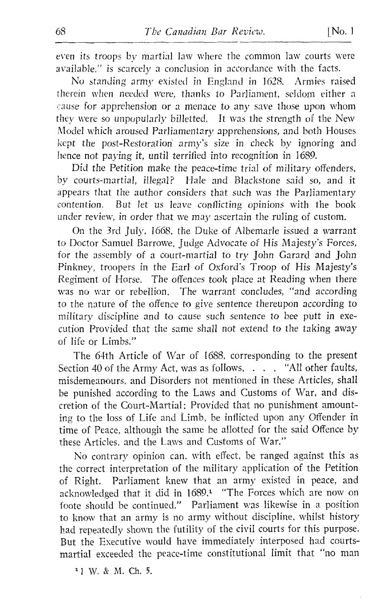even its troops by martial law where the common law courts were available," is scarcely a conclusion in accordance with the facts.

No standing army existed in England in 1628, Armies raised therein when needed were, thanks to Parliament, seldom either cause for apprehension or a menace to any save those upon whom they were so unpopularly billetted. It was the strength of the New Model which aroused Parliamentary apprehensions, and both Houses kept the post-Restoration army's size in check by ignoring and hence not paying it, until terrified into recognition in 1689.

Did the Petition make the peace-time trial of military offenders, by courts-martial, illegal? Hale and Blackstone said so, and it appears that the author considers that such was the Parliamentary contention. But let us leave conflicting opinions with the book under review, in order that we may ascertain the ruling of custom.

On the 3rd July, 1668, the Duke of Albemarle issued <sup>a</sup> warrant to Doctor Samuel Barrowe, Judge Advocate of His Majesty's Forces, for the assembly of a court-martial to try John Garard and John Pinkney, troopers in the Earl of Oxford's Troop of His Majesty's Regiment of Horse. The offences took place at Reading when there was no war or rebellion. The warrant concludes, "and according to the nature of the offence to give sentence thereupon according to military discipline and to cause such sentence to bee putt in execution Provided that the same shall not extend to the taking away of life or Limbs."

The 64th Article of War of 1688, corresponding to the present Section 40 of the Army Act, was as follows, . . . "All other faults, misdemeanours, and Disorders not mentioned in these Articles, shall be punished according to the Laws and Customs of War, and discretion of the Court-Martial; Provided that no punishment amounting to the loss of Life and Limb, be inflicted upon any Offender in time of Peace, although the same he allotted for the said Offence by these Articles, and the Laws and Customs of War."

No contrary opinion can, with effect, be ranged against this as the correct interpretation of the military application of the Petition of Right. Parliament knew that an army existed in peace, and acknowledged that it did in 1689.<sup>1</sup> "The Forces which are now on foote should be continued." Parliament was likewise in a position to know that an army is no army without discipline, whilst history had repeatedly shown the futility of the civil courts for this purpose. But the Executive would have immediately interposed had courtsmartial exceeded the peace-time constitutional limit that "no man

<sup>1</sup> <sup>1</sup> W. S M. Ch. 5.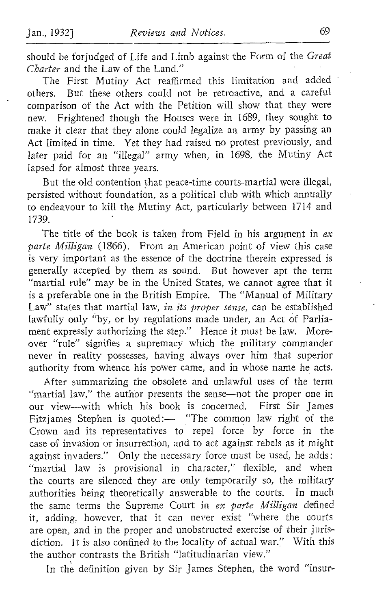should be forjudged of Life and Limb against the Form of the Great Charter and the Law of the Land."

The First Mutiny Act reaffirmed this limitation and added others. But these others could not be retroactive, and a careful comparison of the Act with the Petition will show that they were new. Frightened though the Houses were in 1689, they sought to make it clear that they alone could legalize an army by passing an Act limited in time. Yet they had raised no protest previously, and later paid for an "illegal" army when, in 1698, the Mutiny Act lapsed for almost three years.

But the old contention that peace-time courts-martial were illegal, persisted without foundation, as a political club with which annually to endeavour to kill the Mutiny Act, particularly between 1714 and 1739.

The title of the book is taken from Field in his argument in  $ex$ parte Milligan (1866). From an American point of view this case is very important as the essence of the doctrine therein expressed is generally accepted by them as sound. But however apt the term "martial rule" may be in the United States, we cannot agree that it is a preferable one in the British Empire. The "Manual of Military Law" states that martial law, in its proper sense, can be established lawfully only "by, or by regulations made under, an Act of Parlia ment expressly authorizing the step." Hence it must be law. Moreover "rule" signifies a supremacy which the military commander never in reality possesses, having always over him that superior authority from whence his power came, and in whose name he acts.

After summarizing the obsolete and unlawful uses of the term "martial law," the author presents the sense-not the proper one in our view-with which his book is concerned. First Sir James Fitzjames Stephen is quoted:— "The common law right of the Crown and its representatives to repel force by force in the case of invasion or insurrection, and to act against rebels as it might against invaders." Only the necessary force must be used, he adds: "martial law is provisional in character," flexible, and when the courts are silenced they are only temporarily so, the military authorities being theoretically answerable to the courts. In much the same terms the Supreme Court in ex parte Milligan defined it, adding, however, that it can never exist "where the courts are open, and in the proper and unobstructed exercise of their juris diction . It is also confined to the locality of actual war." With this the author contrasts the British "latitudinarian view."

In the definition given by Sir James Stephen, the word "insur-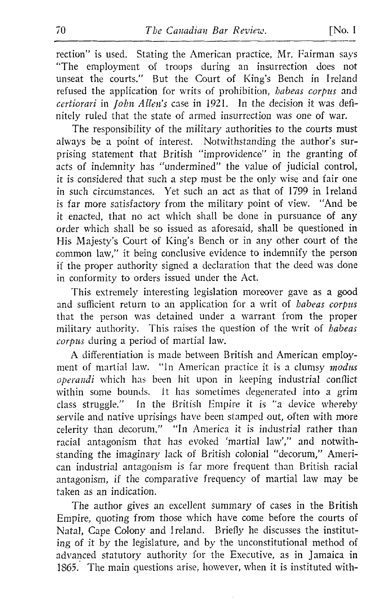The responsibility of the military authorities to the courts must always be a point of interest. Notwithstanding the author's surprising statement that British "improvidence" in the granting of acts of indemnity has "undermined" the value of judicial control, it is considered that such <sup>a</sup> step must be the only wise and fair one in such circumstances. Yet such an act as that of 1799 in Ireland is far more satisfactory from the military point of view. "And be it enacted, that no act which shall be done in pursuance of any order which shall be so issued as aforesaid, shall be questioned in His Majesty's Court of King's Bench or in any other court of the common law," it being conclusive evidence to indemnify the person if the proper authority signed a declaration that the deed was done in conformity to orders issued under the Act.

This extremely interesting legislation moreover gave as a good and sufficient return to an application for a writ of habeas corpus that the person was detained under a warrant from the proper military authority. This raises the question of the writ of habeas corpus during a period of martial law.

A differentiation is made between British and American employment of martial law. "In American practice it is a clumsy modus operandi which has been hit upon in keeping industrial conflict within some bounds. It has sometimes degenerated into a grim class struggle." In the British Empire it is "a device whereby servile and native uprisings have been stamped out, often with more celerity than decorum." "In America it is industrial rather than racial antagonism that has evoked 'martial law'," and notwithstanding the imaginary lack of British colonial "decorum," American industrial antagonism is far more frequent than British racial antagonism, if the comparative frequency of martial law may be taken as an indication.

The author gives an excellent summary of cases in the British Empire, quoting from those which have come before the courts of Natal, Cape Colony and Ireland. Briefly he discusses the instituting of it by the legislature, and by the unconstitutional method of advanced statutory authority for the Executive, as in Jamaica in 1565. The main questions arise, however, when it is instituted with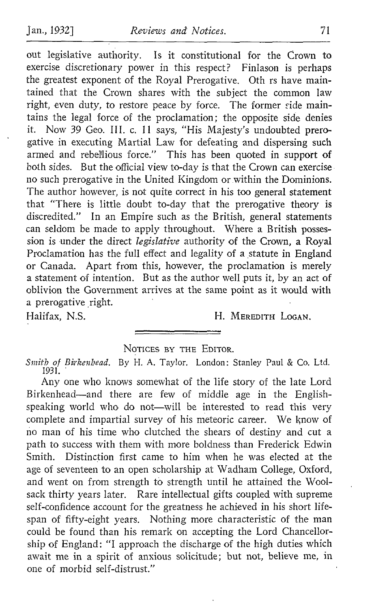out legislative authority. Is it constitutional for the Crown to exercise discretionary power in this respect? Finlason is perhaps the greatest exponent of the Royal Prerogative. Oth rs have maintained that the Crown shares with the subject the common law right, even duty, to restore peace by force. The former side maintains the legal force of the proclamation ; the opposite side denies it. Now 39 Geo. III. c. 11 says, "His Majesty's undoubted prerogative in executing Martial Law for defeating and dispersing such armed and rebellious force." This has been quoted in support of both sides. But the official view to-day is that the Crown can exercise no such prerogative in the United Kingdom or within the Dominions. The author however, is not quite correct in his too general statement that "There is little doubt to-day that the prerogative theory is discredited." In an Empire such as the British, general statements can seldom be made to apply throughout. Where a British possession is under the direct legislative authority of the Crown, a Royal Proclamation has the full effect and legality of a statute in England or Canada. Apart from this, however, the proclamation is merely a statement of intention. But as the author well puts it, by an act of oblivion the Government arrives at the same point as it would with a prerogative right.<br>Halifax. N.S.

H. MEREDITH LOGAN.

### NOTICES BY THE EDITOR.

Smith of Birkenhead. By H. A. Taylor. London: Stanley Paul & Co. Ltd. 1931 .

Any one who knows somewhat of the life story of the late Lord Birkenhead-and there are few of middle age in the Englishspeaking world who do not-will be interested to read this very complete and impartial survey of his meteoric career. We know of no man of his time who clutched the shears of destiny and cut a path to success with them with more boldness than Frederick Edwin Smith. Distinction first came to him when he was elected at the age of seventeen to an open scholarship at Wadham College, Oxford, and went on from strength to strength until he attained the Wool sack thirty years later. Rare intellectual gifts coupled with supreme self-confidence account for the greatness he achieved in his short lifespan of fifty-eight years. Nothing more characteristic of the man could be found than his remark on accepting the Lord Chancellorship of England: "I approach the discharge of the high duties which await me in a spirit of anxious solicitude; but not, believe me, in one of morbid self-distrust."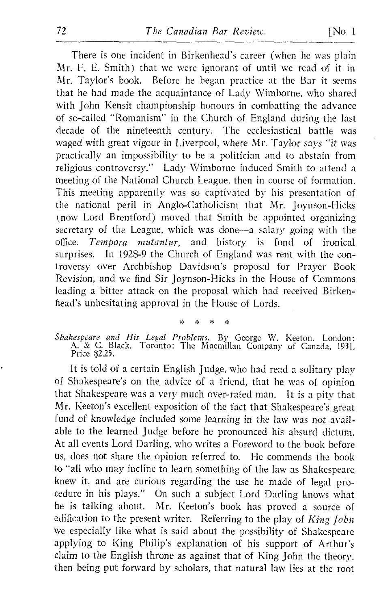There is one incident in Birkenhead's career (when he was plain Mr. F. E. Smith) that we were ignorant of until we read of it in Mr. Taylor's book. Before he began practice at the Bar it seems that he had made the acquaintance of Lady Wimborne, who shared with John Kensit championship honours in combatting the advance of so-called "Romanism" in the Church of England during the last decade of the nineteenth century. The ecclesiastical battle was waged with great vigour in Liverpool, where Mr. Taylor says "it was practically an impossibility to be a politician and to abstain from religious controversy." Lady Wimborne induced Smith to attend a meeting of the National Church League, then in course of formation. This meeting apparently was so captivated by his presentation of the national peril in Angle,-Catholicism that Mr. Joynson-Hicks (now Lord Brentford) moved that Smith be appointed organizing secretary of the League, which was done-a salary going with the office. Tempora mutantur, and history is fond of ironical office. Tempora mutantur, and history is fond of surprises. In 1928-9 the Church of England was rent with the controversy over Archbishop Davidson's proposal for Prayer Book Revision, and we find Sir Joynson-Hicks in the House of Commons leading a bitter attack on the proposal which had received Birkenhead's unhesitating approval in the House of Lords.

Shakespeare and His Legal Problems. By George W. Keeton. London: A. & C. Black. Toronto: The Macmillan Company of Canada, 1931. Price \$2.25.

It is told of <sup>a</sup> certain English judge, who had read <sup>a</sup> solitary play of Shakespeare's on the, advice of a friend, that he was of opinion that Shakespeare was <sup>a</sup> very much over-rated man. It is <sup>a</sup> pity that Mr. Keeton's excellent exposition of the fact that Shakespeare's great fund of knowledge included some learning in the law was not available to the learned judge before he pronounced his absurd dictum. At all events Lord Darling, who writes <sup>a</sup> Foreword to the book before us, does not share the opinion referred to. He commends the book to "all who may incline to learn something of the law as Shakespeare, knew it, and are curious regarding the use he made of legal procedure in his plays." On such <sup>a</sup> subject Lord Darling knows what Mr. Keeton's book has proved a source of edification to the present writer. Referring to the play of  $King\ John$ we especially like what is said about the possibility of Shakespeare applying to King Philip's explanation of his support of Arthur's claim to the English throne as against that of King John the theory, then being put forward by scholars, that natural law lies at the root